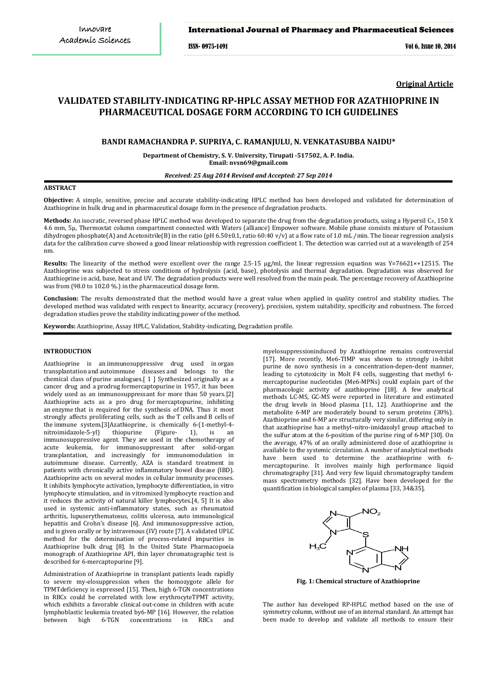# International Journal of Pharmacy and Pharmaceutical Sciences

ISSN- 0975-1491 Vol 6, Issue 10, 2014

**Original Article**

# **VALIDATED STABILITY-INDICATING RP-HPLC ASSAY METHOD FOR AZATHIOPRINE IN PHARMACEUTICAL DOSAGE FORM ACCORDING TO ICH GUIDELINES**

# **BANDI RAMACHANDRA P. SUPRIYA, C. RAMANJULU, N. VENKATASUBBA NAIDU\***

**Department of Chemistry, S. V. University, Tirupati -517502, A. P. India. Email: nvsn69@gmail.com** 

*Received: 25 Aug 2014 Revised and Accepted: 27 Sep 2014*

#### **ABSTRACT**

**Objective:** A simple, sensitive, precise and accurate stability-indicating HPLC method has been developed and validated for determination of Azathioprine in bulk drug and in pharmaceutical dosage form in the presence of degradation products.

**Methods:** An isocratic, reversed phase HPLC method was developed to separate the drug from the degradation products, using a Hypersil C 8 , 150 X 4.6 mm, 5µ, Thermostat column compartment connected with Waters (alliance) Empower software. Mobile phase consists mixture of Potassium dihydrogen phosphate(A) and Acetonitrile(B) in the ratio (pH 6.50±0.1, ratio 60:40 v/v) at a flow rate of 1.0 mL /min. The linear regression analysis data for the calibration curve showed a good linear relationship with regression coefficient 1. The detection was carried out at a wavelength of 254 nm.

**Results:** The linearity of the method were excellent over the range 2.5-15 μg/ml, the linear regression equation was Y=76621×+12515. The Azathioprine was subjected to stress conditions of hydrolysis (acid, base), photolysis and thermal degradation. Degradation was observed for Azathioprine in acid, base, heat and UV. The degradation products were well resolved from the main peak. The percentage recovery of Azathioprine was from (98.0 to 102.0 %.) in the pharmaceutical dosage form.

**Conclusion:** The results demonstrated that the method would have a great value when applied in quality control and stability studies. The developed method was validated with respect to linearity, accuracy (recovery), precision, system suitability, specificity and robustness. The forced degradation studies prove the stability indicating power of the method.

**Keywords:** Azathioprine, Assay HPLC, Validation, Stability-indicating, Degradation profile.

# **INTRODUCTION**

Azathioprine is an [immunosuppressive drug](http://en.wikipedia.org/wiki/Immunosuppressive_drug) used in [organ](http://en.wikipedia.org/wiki/Organ_transplant)  [transplantation](http://en.wikipedia.org/wiki/Organ_transplant) and [autoimmune diseases](http://en.wikipedia.org/wiki/Autoimmune_disease) and belongs to the chemical class of [purine analogues.\[](http://en.wikipedia.org/wiki/Purine_analogue) 1 ] Synthesized originally as a cancer drug and a [prodrug](http://en.wikipedia.org/wiki/Prodrug) fo[rmercaptopurine](http://en.wikipedia.org/wiki/Mercaptopurine) in 1957, it has been widely used as an immunosuppressant for more than 50 years.[\[2\]](http://en.wikipedia.org/wiki/Azathioprine#cite_note-nobel-2) Azathioprine acts as a pro drug for [mercaptopurine,](http://en.wikipedia.org/wiki/Mercaptopurine) inhibiting an [enzyme](http://en.wikipedia.org/wiki/Enzyme) that is required for the synthesis of [DNA.](http://en.wikipedia.org/wiki/DNA) Thus it most strongly affects proliferating cells, such as the [T cells](http://en.wikipedia.org/wiki/T_cell) and [B cells](http://en.wikipedia.org/wiki/B_cell) of the [immune system.\[](http://en.wikipedia.org/wiki/Immune_system)3]Azathioprine, is chemically 6-(1-methyl-4-<br>nitroimidazole-5-yl) thiopurine (Figure- 1), is an nitroimidazole-5-yl) thiopurine (Figure- 1), is an immunosuppressive agent. They are used in the chemotherapy of acute leukemia, for immunosuppressant after solid-organ transplantation, and increasingly for immunomodulation in autoimmune disease. Currently, AZA is standard treatment in patients with chronically active inflammatory bowel disease (IBD). Azathioprine acts on several modes in cellular immunity processes. It inhibits lymphocyte activation, lymphocyte differentiation, in vitro lymphocyte stimulation, and in vitromixed lymphocyte reaction and it reduces the activity of natural killer lymphocytes.[4, 5] It is also used in systemic anti-inflammatory states, such as rheumatoid arthritis, lupuserythematosus, colitis ulcerosa, auto immunological hepatitis and Crohn's disease [6]. And immunosuppressive action, and is given orally or by intravenous (IV) route [7]. A validated UPLC method for the determination of process-related impurities in Azathioprine bulk drug [8]. In the United State Pharmacopoeia monograph of Azathioprine API, thin layer chromatographic test is described for 6-mercaptopurine [9].

Administration of Azathioprine in transplant patients leads rapidly to severe my-elosuppression when the homozygote allele for TPMTdeficiency is expressed [15]. Then, high 6-TGN concentrations in RBCs could be correlated with low erythrocyteTPMT activity, which exhibits a favorable clinical out-come in children with acute lymphoblastic leukemia treated by6-MP [16]. However, the relation<br>hetween high 6-TGN concentrations in RBCs and between high 6-TGN concentrations in

myelosuppressioninduced by Azathioprine remains controversial [17]. More recently, Me6-TIMP was shown to strongly in-hibit purine de novo synthesis in a concentration-depen-dent manner, leading to cytotoxicity in Molt F4 cells, suggesting that methyl 6 mercaptopurine nucleotides (Me6-MPNs) could explain part of the pharmacologic activity of azathioprine [18]. A few analytical methods LC-MS, GC-MS were reported in literature and estimated the drug levels in blood plasma [11, 12]. Azathioprine and the metabolite 6-MP are moderately bound to serum proteins (30%). Azathioprine and 6-MP are structurally very similar, differing only in that azathioprine has a methyl–nitro-imidazolyl group attached to the sulfur atom at the 6-position of the purine ring of 6-MP [30]. On the average, 47% of an orally administered dose of azathioprine is available to the systemic circulation. A number of analytical methods have been used to determine the azathioprine with 6 mercaptopurine. It involves mainly high performance liquid chromatography [31]. And very few liquid chromatography tandem mass spectrometry methods [32]. Have been developed for the quantification in biological samples of plasma [33, 34&35].



**Fig. 1: Chemical structure of Azathioprine**

The author has developed RP-HPLC method based on the use of symmetry column, without use of an internal standard. An attempt has been made to develop and validate all methods to ensure their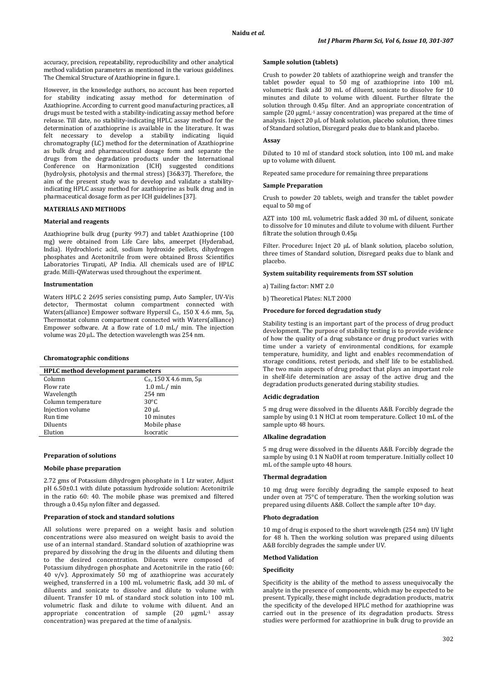accuracy, precision, repeatability, reproducibility and other analytical method validation parameters as mentioned in the various guidelines. The Chemical Structure of Azathioprine in figure.1.

However, in the knowledge authors, no account has been reported for stability indicating assay method for determination of Azathioprine. According to current good manufacturing practices, all drugs must be tested with a stability-indicating assay method before release. Till date, no stability-indicating HPLC assay method for the determination of azathioprine is available in the literature. It was felt necessary to develop a stability indicating liquid chromatography (LC) method for the determination of Azathioprine as bulk drug and pharmaceutical dosage form and separate the drugs from the degradation products under the International Conference on Harmonization (ICH) suggested conditions (hydrolysis, photolysis and thermal stress) [36&37]. Therefore, the aim of the present study was to develop and validate a stabilityindicating HPLC assay method for azathioprine as bulk drug and in pharmaceutical dosage form as per ICH guidelines [37].

# **MATERIALS AND METHODS**

# **Material and reagents**

Azathioprine bulk drug (purity 99.7) and tablet Azathioprine (100 mg) were obtained from Life Care labs, ameerpet (Hyderabad, India). Hydrochloric acid, sodium hydroxide pellets, dihydrogen phosphates and Acetonitrile from were obtained Bross Scientifics Laboratories Tirupati, AP India. All chemicals used are of HPLC grade. Milli-QWaterwas used throughout the experiment.

### **Instrumentation**

Waters HPLC 2 2695 series consisting pump, Auto Sampler, UV-Vis detector, Thermostat column compartment connected with Waters(alliance) Empower software Hypersil C<sub>8</sub>, 150 X 4.6 mm, 5µ, Thermostat column compartment connected with Waters(alliance) Empower software. At a flow rate of 1.0 mL/ min. The injection volume was 20 μL. The detection wavelength was 254 nm.

#### **Chromatographic conditions**

| <b>HPLC</b> method development parameters |                          |  |  |
|-------------------------------------------|--------------------------|--|--|
| Column                                    | $C_8$ , 150 X 4.6 mm, 5µ |  |  |
| Flow rate                                 | $1.0$ mL $/$ min         |  |  |
| Wavelength                                | $254 \text{ nm}$         |  |  |
| Column temperature                        | $30^{\circ}$ C           |  |  |
| Injection volume                          | $20 \mu L$               |  |  |
| Run time                                  | 10 minutes               |  |  |
| Diluents                                  | Mobile phase             |  |  |
| Elution                                   | Isocratic                |  |  |

# **Preparation of solutions**

#### **Mobile phase preparation**

2.72 gms of Potassium dihydrogen phosphate in 1 Ltr water, Adjust pH 6.50±0.1 with dilute potassium hydroxide solution: Acetonitrile in the ratio 60: 40. The mobile phase was premixed and filtered through a 0.45μ nylon filter and degassed.

### **Preparation of stock and standard solutions**

All solutions were prepared on a weight basis and solution concentrations were also measured on weight basis to avoid the use of an internal standard. Standard solution of azathioprine was prepared by dissolving the drug in the diluents and diluting them to the desired concentration. Diluents were composed of Potassium dihydrogen phosphate and Acetonitrile in the ratio (60: 40 v/v). Approximately 50 mg of azathioprine was accurately weighed, transferred in a 100 mL volumetric flask, add 30 mL of diluents and sonicate to dissolve and dilute to volume with diluent. Transfer 10 mL of standard stock solution into 100 mL volumetric flask and dilute to volume with diluent. And an appropriate concentration of sample (20 μgmL-1 assay concentration) was prepared at the time of analysis.

# **Sample solution (tablets)**

Crush to powder 20 tablets of azathioprine weigh and transfer the tablet powder equal to 50 mg of azathioprine into 100 mL volumetric flask add 30 mL of diluent, sonicate to dissolve for 10 minutes and dilute to volume with diluent. Further filtrate the solution through 0.45µ filter. And an appropriate concentration of sample (20 μgmL-1 assay concentration) was prepared at the time of analysis. Inject 20 µL of blank solution, placebo solution, three times of Standard solution, Disregard peaks due to blank and placebo.

# **Assay**

Diluted to 10 ml of standard stock solution, into 100 mL and make up to volume with diluent.

Repeated same procedure for remaining three preparations

#### **Sample Preparation**

Crush to powder 20 tablets, weigh and transfer the tablet powder equal to 50 mg of

AZT into 100 mL volumetric flask added 30 mL of diluent, sonicate to dissolve for 10 minutes and dilute to volume with diluent. Further filtrate the solution through 0.45µ

Filter. Procedure**:** Inject 20 µL of blank solution, placebo solution, three times of Standard solution, Disregard peaks due to blank and placebo.

### **System suitability requirements from SST solution**

a) Tailing factor: NMT 2.0

b) Theoretical Plates: NLT 2000

#### **Procedure for forced degradation study**

Stability testing is an important part of the process of drug product development. The purpose of stability testing is to provide evidence of how the quality of a drug substance or drug product varies with time under a variety of environmental conditions, for example temperature, humidity, and light and enables recommendation of storage conditions, retest periods, and shelf life to be established. The two main aspects of drug product that plays an important role in shelf-life determination are assay of the active drug and the degradation products generated during stability studies.

### **Acidic degradation**

5 mg drug were dissolved in the diluents A&B. Forcibly degrade the sample by using 0.1 N HCl at room temperature. Collect 10 mL of the sample upto 48 hours.

#### **Alkaline degradation**

5 mg drug were dissolved in the diluents A&B. Forcibly degrade the sample by using 0.1 N NaOH at room temperature. Initially collect 10 mL of the sample upto 48 hours.

#### **Thermal degradation**

10 mg drug were forcibly degrading the sample exposed to heat under oven at 75°C of temperature. Then the working solution was prepared using diluents A&B. Collect the sample after 10th day.

#### **Photo degradation**

10 mg of drug is exposed to the short wavelength (254 nm) UV light for 48 h. Then the working solution was prepared using diluents A&B forcibly degrades the sample under UV.

### **Method Validation**

# **Specificity**

Specificity is the ability of the method to assess unequivocally the analyte in the presence of components, which may be expected to be present. Typically, these might include degradation products, matrix the specificity of the developed HPLC method for azathioprine was carried out in the presence of its degradation products. Stress studies were performed for azathioprine in bulk drug to provide an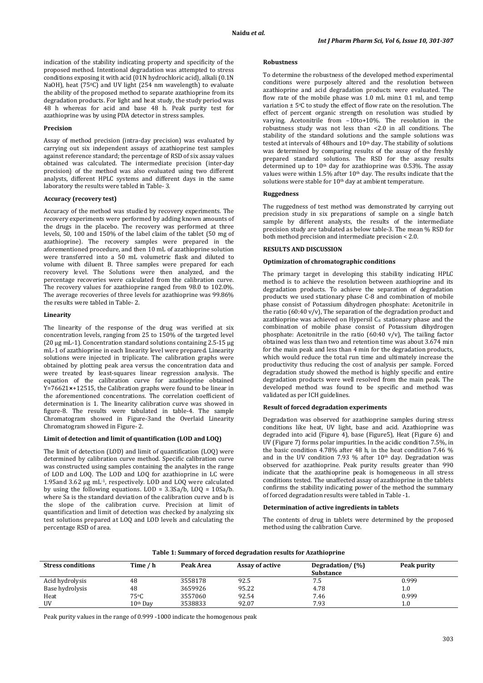indication of the stability indicating property and specificity of the proposed method. Intentional degradation was attempted to stress conditions exposing it with acid (01N hydrochloric acid), alkali (0.1N NaOH), heat (75<sup>o</sup>C) and UV light (254 nm wavelength) to evaluate the ability of the proposed method to separate azathioprine from its degradation products. For light and heat study, the study period was 48 h whereas for acid and base 48 h. Peak purity test for azathioprine was by using PDA detector in stress samples.

# **Precision**

Assay of method precision (intra-day precision) was evaluated by carrying out six independent assays of azathioprine test samples against reference standard; the percentage of RSD of six assay values obtained was calculated. The intermediate precision (inter-day precision) of the method was also evaluated using two different analysts, different HPLC systems and different days in the same laboratory the results were tabled in Table- 3.

# **Accuracy (recovery test)**

Accuracy of the method was studied by recovery experiments. The recovery experiments were performed by adding known amounts of the drugs in the placebo. The recovery was performed at three levels, 50, 100 and 150% of the label claim of the tablet (50 mg of azathioprine). The recovery samples were prepared in the aforementioned procedure, and then 10 mL of azathioprine solution were transferred into a 50 mL volumetric flask and diluted to volume with diluent B. Three samples were prepared for each recovery level. The Solutions were then analyzed, and the percentage recoveries were calculated from the calibration curve. The recovery values for azathioprine ranged from 98.0 to 102.0%. The average recoveries of three levels for azathioprine was 99.86% the results were tabled in Table- 2.

# **Linearity**

The linearity of the response of the drug was verified at six concentration levels, ranging from 25 to 150% of the targeted level (20 μg mL-1). Concentration standard solutions containing 2.5-15 μg mL-1 of azathioprine in each linearity level were prepared. Linearity solutions were injected in triplicate. The calibration graphs were obtained by plotting peak area versus the concentration data and were treated by least-squares linear regression analysis. The equation of the calibration curve for azathioprine obtained Y=76621**×**+12515, the Calibration graphs were found to be linear in the aforementioned concentrations. The correlation coefficient of determination is 1. The linearity calibration curve was showed in figure-8. The results were tabulated in table-4. The sample Chromatogram showed in Figure-3and the Overlaid Linearity Chromatogram showed in Figure- 2.

#### **Limit of detection and limit of quantification (LOD and LOQ)**

The limit of detection (LOD) and limit of quantification (LOQ) were determined by calibration curve method. Specific calibration curve was constructed using samples containing the analytes in the range of LOD and LOQ. The LOD and LOQ for azathioprine in LC were 1.95and 3.62 μg mL -1 , respectively. LOD and LOQ were calculated by using the following equations. LOD = 3.3Sa/b, LOQ = 10Sa/b. where Sa is the standard deviation of the calibration curve and b is the slope of the calibration curve. Precision at limit of quantification and limit of detection was checked by analyzing six test solutions prepared at LOQ and LOD levels and calculating the percentage RSD of area.

### **Robustness**

To determine the robustness of the developed method experimental conditions were purposely altered and the resolution between azathioprine and acid degradation products were evaluated. The flow rate of the mobile phase was 1.0 mL min± 0.1 ml, and temp variation ± 5 oC to study the effect of flow rate on the resolution. The effect of percent organic strength on resolution was studied by varying. Acetonitrile from –10to+10%. The resolution in the robustness study was not less than <2.0 in all conditions. The stability of the standard solutions and the sample solutions was tested at intervals of 48hours and  $10<sup>th</sup>$  day. The stability of solutions was determined by comparing results of the assay of the freshly prepared standard solutions. The RSD for the assay results determined up to  $10<sup>th</sup>$  day for azathioprine was 0.53%. The assay values were within 1.5% after 10<sup>th</sup> day. The results indicate that the solutions were stable for 10<sup>th</sup> day at ambient temperature.

## **Ruggedness**

The ruggedness of test method was demonstrated by carrying out precision study in six preparations of sample on a single batch sample by different analysts, the results of the intermediate precision study are tabulated as below table-3. The mean % RSD for both method precision and intermediate precision < 2.0.

# **RESULTS AND DISCUSSION**

# **Optimization of chromatographic conditions**

The primary target in developing this stability indicating HPLC method is to achieve the resolution between azathioprine and its degradation products. To achieve the separation of degradation products we used stationary phase C-8 and combination of mobile phase consist of Potassium dihydrogen phosphate: Acetonitrile in the ratio (60:40 v/v), The separation of the degradation product and azathioprine was achieved on Hypersil  $C_8$  stationary phase and the combination of mobile phase consist of Potassium dihydrogen phosphate: Acetonitrile in the ratio (60:40 v/v), The tailing factor obtained was less than two and retention time was about 3.674 min for the main peak and less than 4 min for the degradation products, which would reduce the total run time and ultimately increase the productivity thus reducing the cost of analysis per sample. Forced degradation study showed the method is highly specific and entire degradation products were well resolved from the main peak. The developed method was found to be specific and method was validated as per ICH guidelines.

# **Result of forced degradation experiments**

Degradation was observed for azathioprine samples during stress conditions like heat, UV light, base and acid. Azathioprine was degraded into acid (Figure 4), base (Figure5), Heat (Figure 6) and UV (Figure 7) forms polar impurities. In the acidic condition 7.5%, in the basic condition 4.78% after 48 h, in the heat condition 7.46 % and in the UV condition  $7.93\%$  after  $10<sup>th</sup>$  day. Degradation was observed for azathioprine. Peak purity results greater than 990 indicate that the azathioprine peak is homogeneous in all stress conditions tested. The unaffected assay of azathioprine in the tablets confirms the stability indicating power of the method the summary of forced degradation results were tabled in Table -1.

#### **Determination of active ingredients in tablets**

The contents of drug in tablets were determined by the proposed method using the calibration Curve.

| Table 1: Summal V of forced degradation results for Azathlopi life |            |           |                        |                  |             |
|--------------------------------------------------------------------|------------|-----------|------------------------|------------------|-------------|
| <b>Stress conditions</b>                                           | Time / h   | Peak Area | <b>Assay of active</b> | Degradation/(%)  | Peak purity |
|                                                                    |            |           |                        | <b>Substance</b> |             |
| Acid hydrolysis                                                    | 48         | 3558178   | 92.5                   | 7.5              | 0.999       |
| Base hydrolysis                                                    | 48         | 3659926   | 95.22                  | 4.78             | $1.0\,$     |
| Heat                                                               | 75°C       | 3557060   | 92.54                  | 7.46             | 0.999       |
| UV                                                                 | $10th$ Dav | 3538833   | 92.07                  | 7.93             | $1.0\,$     |

**Table 1: Summary of forced degradation results for Azathioprine**

Peak purity values in the range of 0.999 -1000 indicate the homogenous peak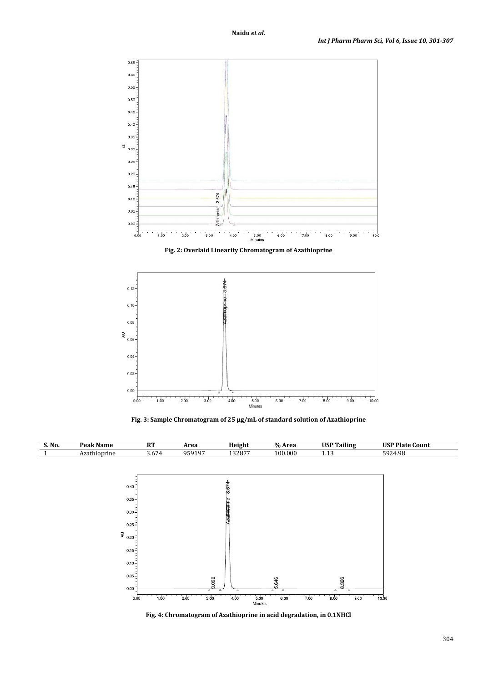

**Fig. 2: Overlaid Linearity Chromatogram of Azathioprine**



**Fig. 3: Sample Chromatogram of 25 μg/mL of standard solution of Azathioprine**



**Fig. 4: Chromatogram of Azathioprine in acid degradation, in 0.1NHCl**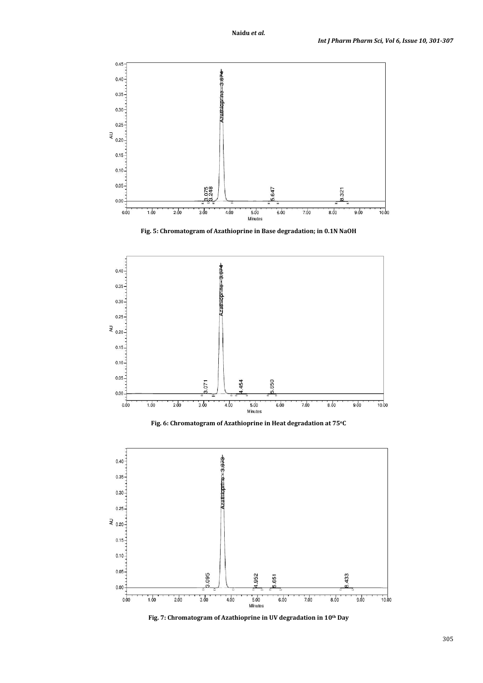

**Fig. 5: Chromatogram of Azathioprine in Base degradation; in 0.1N NaOH**



**Fig. 6: Chromatogram of Azathioprine in Heat degradation at 75oC**



**Fig. 7: Chromatogram of Azathioprine in UV degradation in 10th Day**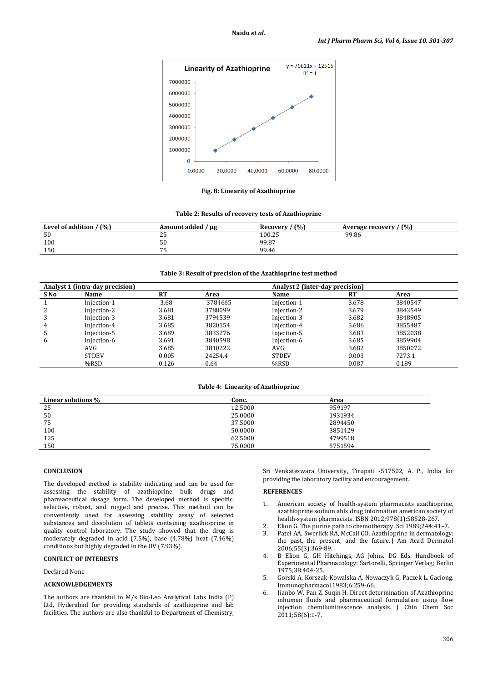

**Fig. 8: Linearity of Azathioprine**

| Table 2: Results of recovery tests of Azathioprine |  |  |
|----------------------------------------------------|--|--|
|----------------------------------------------------|--|--|

| (%)<br>Level of addition | Amount added / μg | (%)<br>Recovery | (%)<br>Average recovery |
|--------------------------|-------------------|-----------------|-------------------------|
| 50                       | <b>--</b><br>ں ے  | 100.25          | 99.86                   |
| 100                      | 50                | 99.87           |                         |
| 150                      | ັ                 | 99.46           |                         |

# **Table 3: Result of precision of the Azathioprine test method**

|      | Analyst 1 (intra-day precision) |           |         | Analyst 2 (inter-day precision) |       |         |
|------|---------------------------------|-----------|---------|---------------------------------|-------|---------|
| S No | Name                            | <b>RT</b> | Area    | Name                            | RT    | Area    |
|      | Injection-1                     | 3.68      | 3784665 | Injection-1                     | 3.678 | 3840547 |
|      | Injection-2                     | 3.681     | 3788099 | Injection-2                     | 3.679 | 3843549 |
|      | Injection-3                     | 3.681     | 3794539 | Injection-3                     | 3.682 | 3848905 |
| 4    | Injection-4                     | 3.685     | 3820154 | Injection-4                     | 3.686 | 3855487 |
|      | Injection-5                     | 3.689     | 3833276 | Injection-5                     | 3.683 | 3852038 |
| 6    | Injection-6                     | 3.691     | 3840598 | Injection-6                     | 3.685 | 3859904 |
|      | AVG                             | 3.685     | 3810222 | AVG                             | 3.682 | 3850072 |
|      | <b>STDEV</b>                    | 0.005     | 24254.4 | <b>STDEV</b>                    | 0.003 | 7273.1  |
|      | %RSD                            | 0.126     | 0.64    | %RSD                            | 0.087 | 0.189   |

# **Table 4: Linearity of Azathioprine**

| Linear solutions % | Conc.   | Area    |
|--------------------|---------|---------|
| 25                 | 12.5000 | 959197  |
| 50                 | 25.0000 | 1931934 |
| 75                 | 37.5000 | 2894450 |
| 100                | 50.0000 | 3851429 |
| 125                | 62.5000 | 4799518 |
| 150                | 75.0000 | 5751594 |

### **CONCLUSION**

The developed method is stability indicating and can be used for assessing the stability of azathioprine bulk drugs and pharmaceutical dosage form. The developed method is specific, selective, robust, and rugged and precise. This method can be conveniently used for assessing stability assay of selected substances and dissolution of tablets containing azathioprine in quality control laboratory. The study showed that the drug is moderately degraded in acid (7.5%), base (4.78%) heat (7.46%) conditions but highly degraded in the UV (7.93%).

# **CONFLICT OF INTERESTS**

Declared None

#### **ACKNOWLEDGEMENTS**

The authors are thankful to M/s Bio-Leo Analytical Labs India (P) Ltd, Hyderabad for providing standards of azathioprine and lab facilities. The authors are also thankful to Department of Chemistry, Sri Venkateswara University, Tirupati -517502, A. P., India for providing the laboratory facility and encouragement.

# **REFERENCES**

- 1. American society of health-system pharmacists azathioprine, azathioprine sodium ahfs drug information american society of health-system pharmacists. ISBN 2012;978(1):58528-267.
- 2. Elion G. The purine path to chemotherapy. Sci 1989;244:41–7.<br>3. Patel AA. Swerlick RA. McCall CO. Azathionrine in dermatology
- Patel AA, Swerlick RA, McCall CO. Azathioprine in dermatology: the past, the present, and the future. J Am Acad Dermatol 2006;55(3):369-89.
- 4. B Elion G, GH Hitchings, AG Johns, DG Eds. Handbook of Experimental Pharmacology: Sartorelli, Springer Verlag; Berlin 1975;38:404-25.
- 5. Gorski A, Korszak-Kowalska A, Nowaczyk G, Paczek L. Gaciong. Immunopharmacol 1983;6:259-66.
- 6. Jianbo W, Pan Z, Suqin H. Direct determination of Azathioprine inhuman fluids and pharmaceutical formulation using flow injection chemiluminescence analysis. J Chin Chem Soc 2011;58(6):1-7.